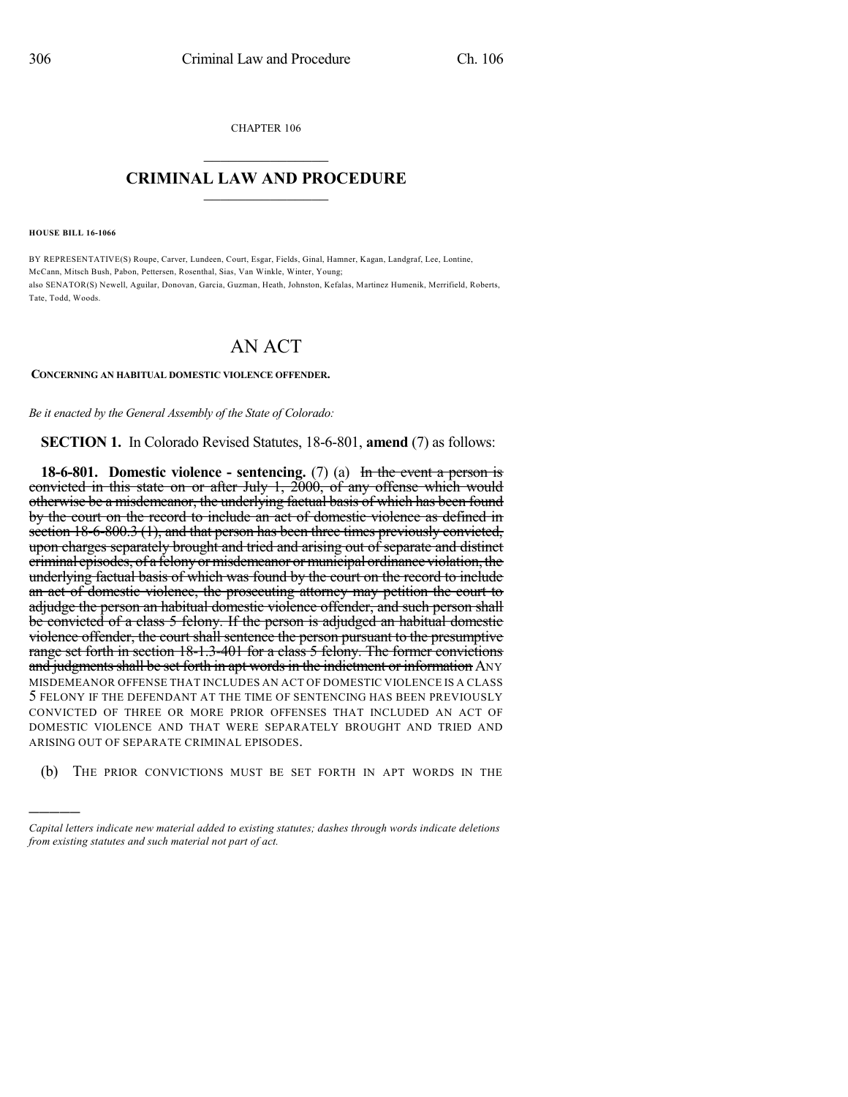CHAPTER 106  $\mathcal{L}_\text{max}$  . The set of the set of the set of the set of the set of the set of the set of the set of the set of the set of the set of the set of the set of the set of the set of the set of the set of the set of the set

## **CRIMINAL LAW AND PROCEDURE**  $\frac{1}{2}$  ,  $\frac{1}{2}$  ,  $\frac{1}{2}$  ,  $\frac{1}{2}$  ,  $\frac{1}{2}$  ,  $\frac{1}{2}$  ,  $\frac{1}{2}$

**HOUSE BILL 16-1066**

)))))

BY REPRESENTATIVE(S) Roupe, Carver, Lundeen, Court, Esgar, Fields, Ginal, Hamner, Kagan, Landgraf, Lee, Lontine, McCann, Mitsch Bush, Pabon, Pettersen, Rosenthal, Sias, Van Winkle, Winter, Young; also SENATOR(S) Newell, Aguilar, Donovan, Garcia, Guzman, Heath, Johnston, Kefalas, Martinez Humenik, Merrifield, Roberts, Tate, Todd, Woods.

## AN ACT

## **CONCERNING AN HABITUAL DOMESTIC VIOLENCE OFFENDER.**

*Be it enacted by the General Assembly of the State of Colorado:*

## **SECTION 1.** In Colorado Revised Statutes, 18-6-801, **amend** (7) as follows:

**18-6-801. Domestic violence - sentencing.** (7) (a) In the event a person is convicted in this state on or after July 1, 2000, of any offense which would otherwise be a misdemeanor, the underlying factual basis of which has been found by the court on the record to include an act of domestic violence as defined in section 18-6-800.3 (1), and that person has been three times previously convicted, upon charges separately brought and tried and arising out of separate and distinct criminal episodes, of a felony or misdemeanor or municipal ordinance violation, the underlying factual basis of which was found by the court on the record to include an act of domestic violence, the prosecuting attorney may petition the court to adjudge the person an habitual domestic violence offender, and such person shall be convicted of a class 5 felony. If the person is adjudged an habitual domestic violence offender, the court shall sentence the person pursuant to the presumptive range set forth in section 18-1.3-401 for a class 5 felony. The former convictions and judgments shall be set forth in apt words in the indictment or information ANY MISDEMEANOR OFFENSE THAT INCLUDES AN ACT OF DOMESTIC VIOLENCE IS A CLASS 5 FELONY IF THE DEFENDANT AT THE TIME OF SENTENCING HAS BEEN PREVIOUSLY CONVICTED OF THREE OR MORE PRIOR OFFENSES THAT INCLUDED AN ACT OF DOMESTIC VIOLENCE AND THAT WERE SEPARATELY BROUGHT AND TRIED AND ARISING OUT OF SEPARATE CRIMINAL EPISODES.

(b) THE PRIOR CONVICTIONS MUST BE SET FORTH IN APT WORDS IN THE

*Capital letters indicate new material added to existing statutes; dashes through words indicate deletions from existing statutes and such material not part of act.*